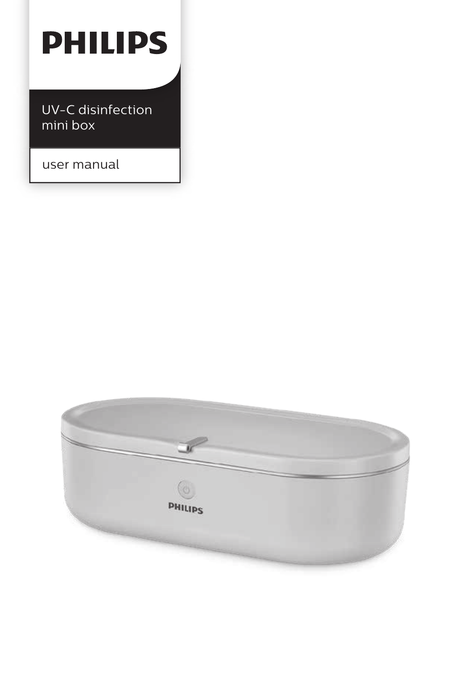# **PHILIPS**

UV-C disinfection mini box

user manual

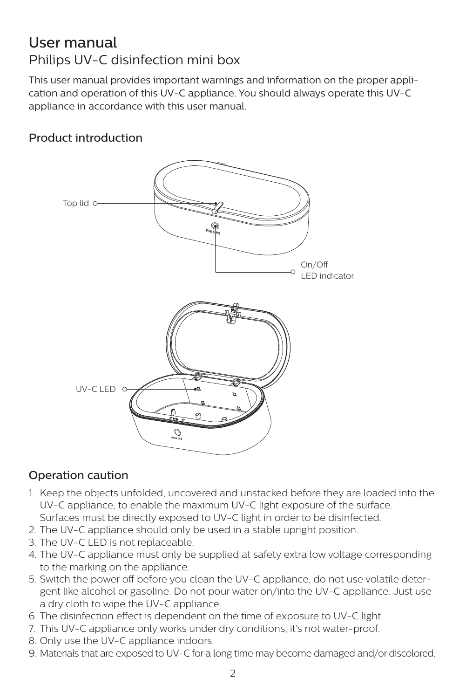### User manual Philips UV-C disinfection mini box

This user manual provides important warnings and information on the proper application and operation of this UV-C appliance. You should always operate this UV-C appliance in accordance with this user manual.

#### Product introduction



#### Operation caution

- 1. Keep the objects unfolded, uncovered and unstacked before they are loaded into the UV-C appliance, to enable the maximum UV-C light exposure of the surface. Surfaces must be directly exposed to UV-C light in order to be disinfected.
- 2. The UV-C appliance should only be used in a stable upright position.
- 3. The UV-C LED is not replaceable.
- 4. The UV-C appliance must only be supplied at safety extra low voltage corresponding to the marking on the appliance.
- 5. Switch the power off before you clean the UV-C appliance, do not use volatile detergent like alcohol or gasoline. Do not pour water on/into the UV-C appliance. Just use a dry cloth to wipe the UV-C appliance.
- 6. The disinfection effect is dependent on the time of exposure to UV-C light.
- 7. This UV-C appliance only works under dry conditions, it's not water-proof.
- 8. Only use the UV-C appliance indoors.
- 9. Materials that are exposed to UV-C for a long time may become damaged and/or discolored.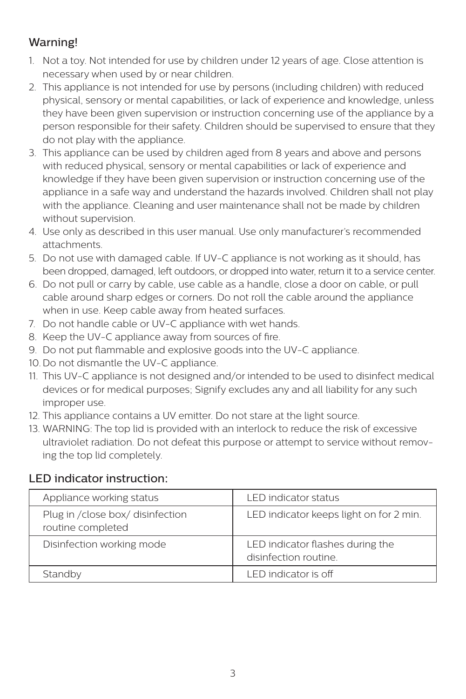#### Warning!

- 1. Not a toy. Not intended for use by children under 12 years of age. Close attention is necessary when used by or near children.
- 2. This appliance is not intended for use by persons (including children) with reduced physical, sensory or mental capabilities, or lack of experience and knowledge, unless they have been given supervision or instruction concerning use of the appliance by a person responsible for their safety. Children should be supervised to ensure that they do not play with the appliance.
- 3. This appliance can be used by children aged from 8 years and above and persons with reduced physical, sensory or mental capabilities or lack of experience and knowledge if they have been given supervision or instruction concerning use of the appliance in a safe way and understand the hazards involved. Children shall not play with the appliance. Cleaning and user maintenance shall not be made by children without supervision.
- 4. Use only as described in this user manual. Use only manufacturer's recommended attachments.
- 5. Do not use with damaged cable. If UV-C appliance is not working as it should, has been dropped, damaged, left outdoors, or dropped into water, return it to a service center.
- 6. Do not pull or carry by cable, use cable as a handle, close a door on cable, or pull cable around sharp edges or corners. Do not roll the cable around the appliance when in use. Keep cable away from heated surfaces.
- 7. Do not handle cable or UV-C appliance with wet hands.
- 8. Keep the UV-C appliance away from sources of fire.
- 9. Do not put flammable and explosive goods into the UV-C appliance.
- 10. Do not dismantle the UV-C appliance.
- 11. This UV-C appliance is not designed and/or intended to be used to disinfect medical devices or for medical purposes; Signify excludes any and all liability for any such improper use.
- 12. This appliance contains a UV emitter. Do not stare at the light source.
- 13. WARNING: The top lid is provided with an interlock to reduce the risk of excessive ultraviolet radiation. Do not defeat this purpose or attempt to service without removing the top lid completely.

#### LED indicator instruction:

| Appliance working status                              | <b>LED</b> indicator status                               |
|-------------------------------------------------------|-----------------------------------------------------------|
| Plug in /close box/ disinfection<br>routine completed | LED indicator keeps light on for 2 min.                   |
| Disinfection working mode                             | LED indicator flashes during the<br>disinfection routine. |
| Standby                                               | LED indicator is off                                      |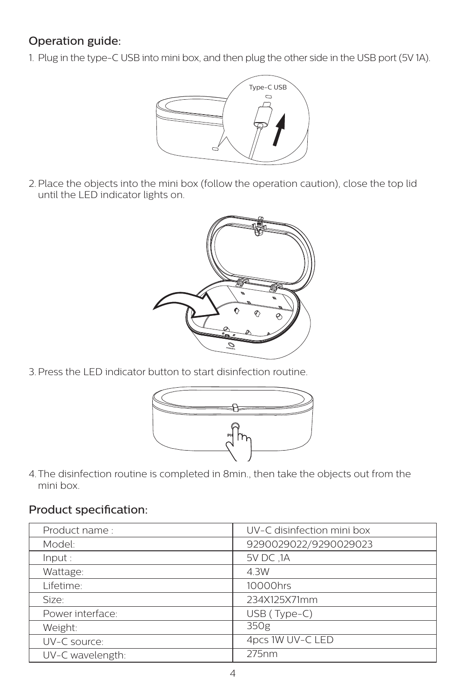### Operation guide:

1. Plug in the type-C USB into mini box, and then plug the other side in the USB port (5V 1A).



2.Place the objects into the mini box (follow the operation caution), close the top lid until the LED indicator lights on.



3.Press the LED indicator button to start disinfection routine.



4.The disinfection routine is completed in 8min., then take the objects out from the mini box.

#### Product specification:

| Product name:    | UV-C disinfection mini box |
|------------------|----------------------------|
| Model:           | 9290029022/9290029023      |
| Input:           | 5V DC .1A                  |
| Wattage:         | 4.3W                       |
| Lifetime:        | 10000hrs                   |
| Size:            | 234X125X71mm               |
| Power interface: | USB (Type-C)               |
| Weight:          | 350g                       |
| UV-C source:     | 4pcs 1W UV-C LED           |
| UV-C wavelength: | 275nm                      |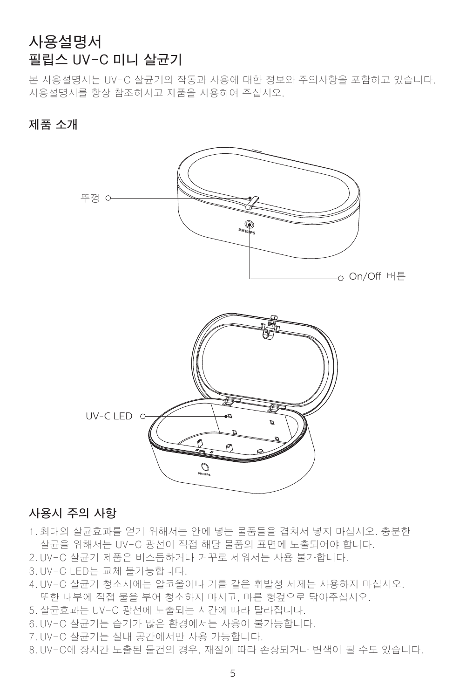### **사용설명서 필립스 UV-C 미니 살균기**

본 사용설명서는 UV-C 살균기의 작동과 사용에 대한 정보와 주의사항을 포함하고 있습니다. 사용설명서를 항상 참조하시고 제품을 사용하여 주십시오.

**제품 소개**



#### **사용시 주의 사항**

1. 최대의 살균효과를 얻기 위해서는 안에 넣는 물품들을 겹쳐서 넣지 마십시오. 충분한 살균을 위해서는 UV-C 광선이 직접 해당 물품의 표면에 노출되어야 합니다.

- 2. UV-C 살균기 제품은 비스듬하거나 거꾸로 세워서는 사용 불가합니다.
- 3. UV-C LED는 교체 불가능합니다.
- 4. UV-C 살균기 청소시에는 알코올이나 기름 같은 휘발성 세제는 사용하지 마십시오. 또한 내부에 직접 물을 부어 청소하지 마시고, 마른 헝겊으로 닦아주십시오.
- 5. 살균효과는 UV-C 광선에 노출되는 시간에 따라 달라집니다.
- 6. UV-C 살균기는 습기가 많은 환경에서는 사용이 불가능합니다.
- 7. UV-C 살균기는 실내 공간에서만 사용 가능합니다.
- 8. UV-C에 장시간 노출된 물건의 경우, 재질에 따라 손상되거나 변색이 될 수도 있습니다.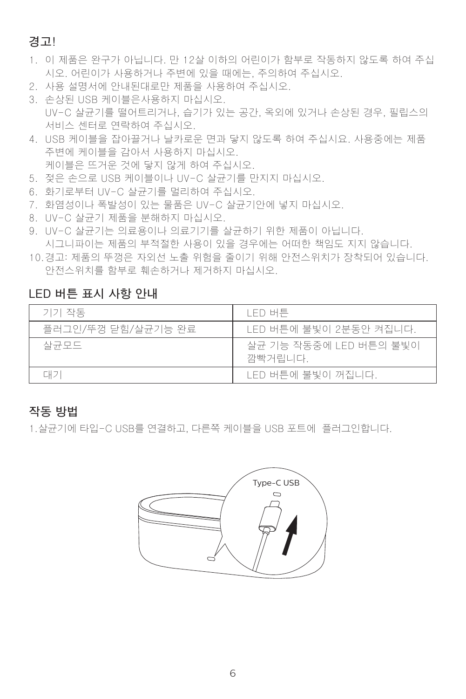#### **경고!**

- 1. 이 제품은 완구가 아닙니다. 만 12살 이하의 어린이가 함부로 작동하지 않도록 하여 주십 시오. 어린이가 사용하거나 주변에 있을 때에는, 주의하여 주십시오.
- 2. 사용 설명서에 안내된대로만 제품을 사용하여 주십시오.

3. 손상된 USB 케이블은사용하지 마십시오. UV-C 살균기를 떨어트리거나, 습기가 있는 공간, 옥외에 있거나 손상된 경우, 필립스의 서비스 센터로 연락하여 주십시오.

- 4. USB 케이블을 잡아끌거나 날카로운 면과 닿지 않도록 하여 주십시요. 사용중에는 제품 주변에 케이블을 감아서 사용하지 마십시오. 케이블은 뜨거운 것에 닿지 않게 하여 주십시오.
- 5. 젖은 손으로 USB 케이블이나 UV-C 살균기를 만지지 마십시오.
- 6. 화기로부터 UV-C 살균기를 멀리하여 주십시오.
- 7. 화염성이나 폭발성이 있는 물품은 UV-C 살균기안에 넣지 마십시오.
- 8. UV-C 살균기 제품을 분해하지 마십시오.
- 9. UV-C 살균기는 의료용이나 의료기기를 살균하기 위한 제품이 아닙니다. 시그니파이는 제품의 부적절한 사용이 있을 경우에는 어떠한 책임도 지지 않습니다.
- 10.경고: 제품의 뚜껑은 자외선 노출 위험을 줄이기 위해 안전스위치가 장착되어 있습니다. 안전스위치를 함부로 훼손하거나 제거하지 마십시오.

#### **LED 버튼 표시 사항 안내**

| 기기 작동              | LED 버튼                            |
|--------------------|-----------------------------------|
| 플러그인/뚜껑 닫힘/살균기능 완료 | - LED 버튼에 불빛이 2분동안 켜집니다.          |
| 살균모드               | 살균 기능 작동중에 LED 버튼의 불빛이<br>깜빡거립니다. |
| 대기                 | LED 버튼에 불빛이 꺼집니다.                 |

#### **작동 방법**

1.살균기에 타입-C USB를 연결하고, 다른쪽 케이블을 USB 포트에 플러그인합니다.

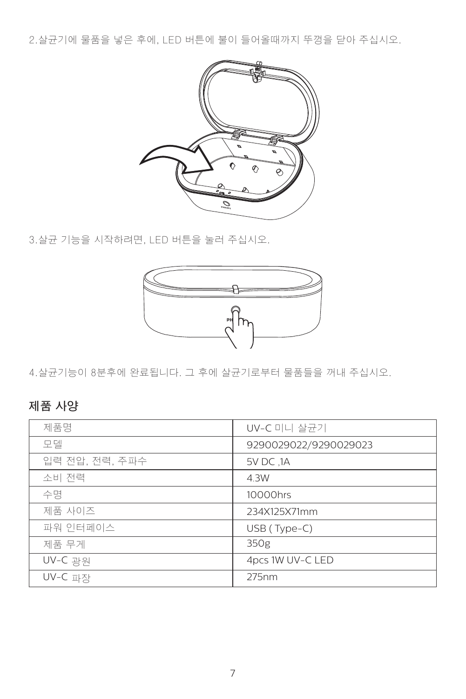2.살균기에 물품을 넣은 후에, LED 버튼에 불이 들어올때까지 뚜껑을 닫아 주십시오.



3.살균 기능을 시작하려면, LED 버튼을 눌러 주십시오.



4.살균기능이 8분후에 완료됩니다. 그 후에 살균기로부터 물품들을 꺼내 주십시오.

### **제품 사양**

| 제품명            | UV-C 미니 살균기           |
|----------------|-----------------------|
| 모델             | 9290029022/9290029023 |
| 입력 전압, 전력, 주파수 | 5V DC ,1A             |
| 소비 전력          | 4.3W                  |
| 수명             | 10000hrs              |
| 제품 사이즈         | 234X125X71mm          |
| 파워 인터페이스       | USB (Type-C)          |
| 제품 무게          | 350g                  |
| UV-C 광원        | 4pcs 1W UV-C LED      |
| UV-C 파장        | 275nm                 |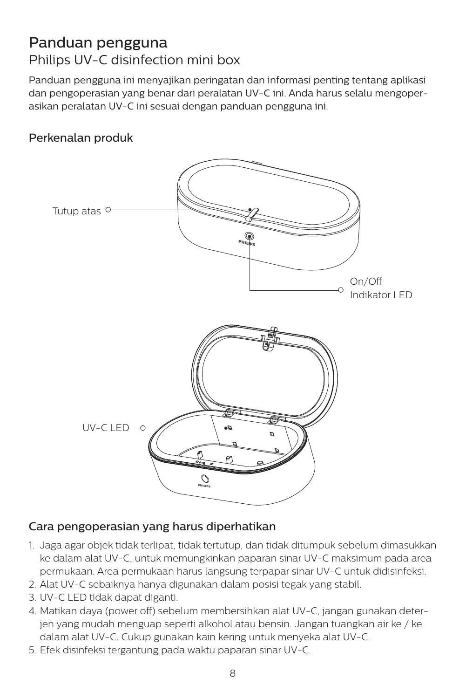### Panduan pengguna Philips UV-C disinfection mini box

Panduan pengguna ini menyajikan peringatan dan informasi penting tentang aplikasi dan pengoperasian yang benar dari peralatan UV-C ini. Anda harus selalu mengoperasikan peralatan UV-C ini sesuai dengan panduan pengguna ini.

#### Perkenalan produk



#### Cara pengoperasian yang harus diperhatikan

- 1. Jaga agar objek tidak terlipat, tidak tertutup, dan tidak ditumpuk sebelum dimasukkan ke dalam alat UV-C, untuk memungkinkan paparan sinar UV-C maksimum pada area permukaan. Area permukaan harus langsung terpapar sinar UV-C untuk didisinfeksi.
- 2. Alat UV-C sebaiknya hanya digunakan dalam posisi tegak yang stabil.
- 3. UV-C LED tidak dapat diganti.
- 4. Matikan daya (power off) sebelum membersihkan alat UV-C, jangan gunakan deterjen yang mudah menguap seperti alkohol atau bensin. Jangan tuangkan air ke / ke dalam alat UV-C. Cukup gunakan kain kering untuk menyeka alat UV-C.
- 5. Efek disinfeksi tergantung pada waktu paparan sinar UV-C.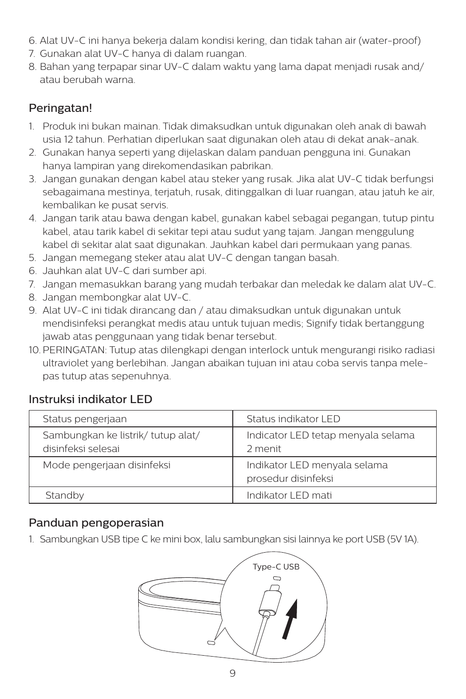- 6. Alat UV-C ini hanya bekerja dalam kondisi kering, dan tidak tahan air (water-proof)
- 7. Gunakan alat UV-C hanya di dalam ruangan.
- 8. Bahan yang terpapar sinar UV-C dalam waktu yang lama dapat menjadi rusak and/ atau berubah warna.

#### Peringatan!

- 1. Produk ini bukan mainan. Tidak dimaksudkan untuk digunakan oleh anak di bawah usia 12 tahun. Perhatian diperlukan saat digunakan oleh atau di dekat anak-anak.
- 2. Gunakan hanya seperti yang dijelaskan dalam panduan pengguna ini. Gunakan hanya lampiran yang direkomendasikan pabrikan.
- 3. Jangan gunakan dengan kabel atau steker yang rusak. Jika alat UV-C tidak berfungsi sebagaimana mestinya, terjatuh, rusak, ditinggalkan di luar ruangan, atau jatuh ke air, kembalikan ke pusat servis.
- 4. Jangan tarik atau bawa dengan kabel, gunakan kabel sebagai pegangan, tutup pintu kabel, atau tarik kabel di sekitar tepi atau sudut yang tajam. Jangan menggulung kabel di sekitar alat saat digunakan. Jauhkan kabel dari permukaan yang panas.
- 5. Jangan memegang steker atau alat UV-C dengan tangan basah.
- 6. Jauhkan alat UV-C dari sumber api.
- 7. Jangan memasukkan barang yang mudah terbakar dan meledak ke dalam alat UV-C.
- 8. Jangan membongkar alat UV-C.
- 9. Alat UV-C ini tidak dirancang dan / atau dimaksudkan untuk digunakan untuk mendisinfeksi perangkat medis atau untuk tujuan medis; Signify tidak bertanggung jawab atas penggunaan yang tidak benar tersebut.
- 10.PERINGATAN: Tutup atas dilengkapi dengan interlock untuk mengurangi risiko radiasi ultraviolet yang berlebihan. Jangan abaikan tujuan ini atau coba servis tanpa melepas tutup atas sepenuhnya.

#### Instruksi indikator LED

| Status pengerjaan                                        | Status indikator LED                                |
|----------------------------------------------------------|-----------------------------------------------------|
| Sambungkan ke listrik/ tutup alat/<br>disinfeksi selesai | Indicator LED tetap menyala selama<br>2 menit       |
| Mode pengerjaan disinfeksi                               | Indikator LED menyala selama<br>prosedur disinfeksi |
| Standby                                                  | Indikator I FD mati                                 |

#### Panduan pengoperasian

1. Sambungkan USB tipe C ke mini box, lalu sambungkan sisi lainnya ke port USB (5V 1A).

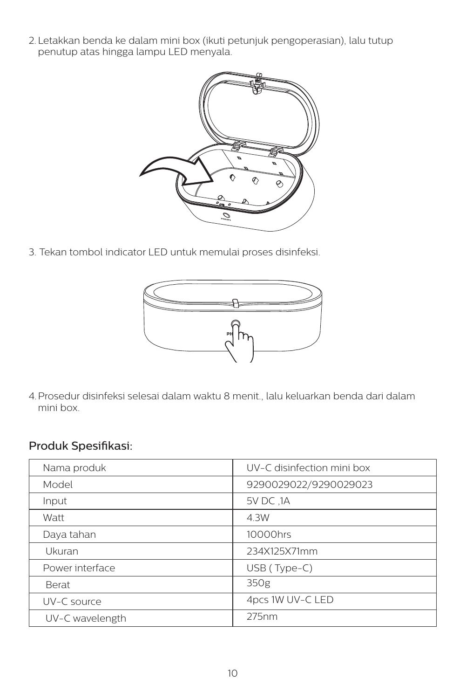2. Letakkan benda ke dalam mini box (ikuti petunjuk pengoperasian), lalu tutup penutup atas hingga lampu LED menyala.



3. Tekan tombol indicator LED untuk memulai proses disinfeksi.



4.Prosedur disinfeksi selesai dalam waktu 8 menit., lalu keluarkan benda dari dalam mini box.

#### Produk Spesifikasi:

| Nama produk     | UV-C disinfection mini box |
|-----------------|----------------------------|
| Model           | 9290029022/9290029023      |
| Input           | 5V DC .1A                  |
| Watt            | 4.3W                       |
| Daya tahan      | 10000hrs                   |
| Ukuran          | 234X125X71mm               |
| Power interface | $USB$ (Type-C)             |
| <b>Berat</b>    | 350g                       |
| UV-C source     | 4pcs 1W UV-C LED           |
| UV-C wavelength | 275nm                      |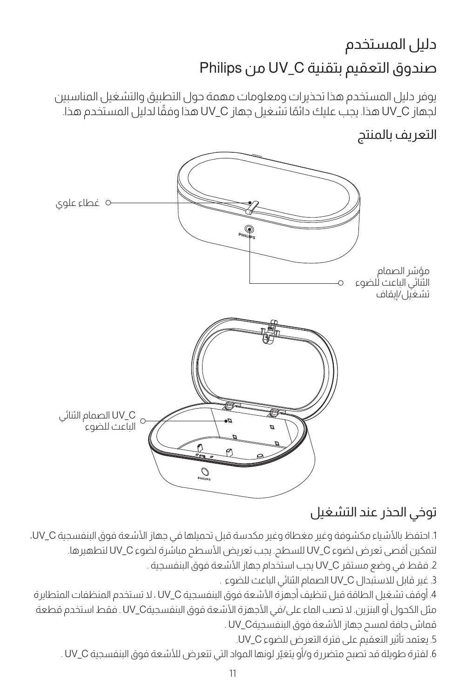# صندوق التعقيم بتقنية C\_UV من Philips دليل المستخدم

يوفر دليل المستخدم هذا تحذيرات ومعلومات مهمة حول التطبيق والتشغيل المناسبين ً لجهاز C\_UV هذا. يجب عليك دائم ً ا تشغيل جهاز C\_UV هذا وفقا لدليل المستخدم هذا.

### التعريف بالمنتج



# توخي الحذر عند التشغيل

1. احتفظ بالأشياء مكشوفة وغير مغطاة وغير مكدسة قبل تحميلها في جهاز الأشعة فوق البنفسجية UV، C، لتمكين أقصى تعرض لضوء C\_UV للسطح. يجب تعريض األسطح مباشرة لضوء C\_UV لتطهيرها. .2 فقط في وضع مستقر C\_UV يجب استخدام جهاز األشعة فوق البنفسجية . .3 غير قابل لالستبدال C\_UV الصمام الثنائي الباعث للضوء . .4 أوقف تشغيل الطاقة قبل تنظيف أجهزة األشعة فوق البنفسجية C\_UV ، ال تستخدم المنظفات المتطايرة مثل الكحول أو البنزين. ال تصب الماء على/في األجهزة األشعة فوق البنفسجيةC\_UV . فقط استخدم قطعة

قماش جافة لمسح جهاز األشعة فوق البنفسجيةC\_UV .

.5 يعتمد تأثير التعقيم على فترة التعرض للضوء C\_UV.

.6 لفترة طويلة قد تصبح متضررة و/أو يتغيّر لونها المواد التي تتعرض لألشعة فوق البنفسجية C\_UV .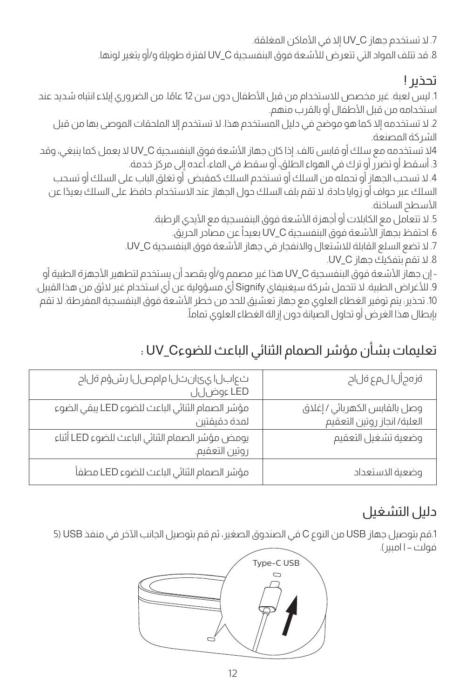.7 ال تستخدم جهاز C\_UV إال في األماكن المغلقة. .8 قد تتلف المواد التي تتعرض لألشعة فوق البنفسجية C\_UV لفترة طويلة و/أو يتغير لونها.

### تحذير !

1. ليس لعبة. غير مخصص للاستخدام من قبل الأطفال دون سن 12 عامًا. من الضروري إيلاء انتباه شديد عند استخدامه من قبل الأطفال أو بالقرب منهم.

.2 ال تستخدمه إال كما هو موضح في دليل المستخدم هذا. ال تستخدم إال الملحقات الموصى بها من قبل الشركة المصنعة.

4ال تستخدمه مع سلك أو قابس تالف. إذا كان جهاز األشعة فوق البنفسجية C\_UV ال يعمل كما ينبغي، وقد .3 أسقط أو تضرر أو ترك في الهواء الطلق، أو سقط في الماء، أعده إلى مركز خدمة.

.4 ال تسحب الجهاز أو تحمله من السلك أو تستخدم السلك كمقبض أو تغلق الباب على السلك أو تسحب السلك عبر حواف أو زوايا حادة. ال تقم بلف السلك حول الجهاز عند االستخدام. حافظ على السلك بعيدًا عن الأسطد الساخنة.

5. لا تتعامل مع الكابلات أو أجهزة الأشعة فوق البنفسجية مع الأبدى الرطبة.

6. احتفظ بجهاز الأشعة فوق البنفسجية UV\_C بعيداً عن مصادر الحريق.

.7 ال تضع السلع القابلة لالشتعال واالنفجار في جهاز األشعة فوق البنفسجية C\_UV.

.8 ال تقم بتفكيك جهاز C\_UV.

- إن جهاز الأشعة فوق البنفسجية UV\_C هذا غير مصمم و/أو يقصد أن يستخدم لتطهير الأجهزة الطبية أو .9 لألغراض الطبية. ال تتحمل شركة سيغنيفاي Signify أي مسؤولية عن أي استخدام غير الئق من هذا القبيل. 10. تحذير: يتم توفير الغطاء العلوى مع جهاز تعشيق للحد من خطر الأشعة فوق البنفسجية المفرطة. لا تقم . بإبطال هذا الغرض أو تحاول الصيانة دون إزالة الغطاء العلوي تماما

# تعليمات بشأن مؤشر الصمام الثنائي الباعث للضوءC\_UV :

| ةز ەج أل المع ةل اح                                          | ثعابال ايئ ان نار ام ام صل ار شؤم قل اح<br>LED ءوض لل             |
|--------------------------------------------------------------|-------------------------------------------------------------------|
| وصل بالقابس الكهربائي / إغلاق<br>العلبة/ انجاز روتين التعقيم | مؤشر الصمام الثنائي الباعث للضوء LED يبقي الضوء<br>لمدة دقيقتين   |
| وضعية تشغيل التعقيم                                          | يومض مؤشر الصمام الثنائي الباعث للضوء LED أثناء<br>روتين التعقيم. |
| وضعية الاستعداد                                              | مؤشر الصمام الثنائى الباعث للضوء LED مطفأ                         |

# دليل التشغيل

.1قم بتوصيل جهاز USB من النوع C في الصندوق الصغير، ثم قم بتوصيل الجانب اآلخر في منفذ USB( 5 فولت – ا امبير).

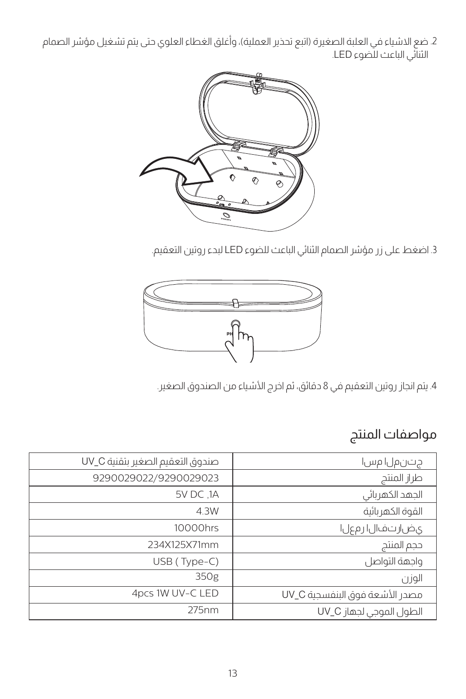4. ضع الاشياء في العلبة الصغيرة (اتبع تحذير العملية)، واغلق الغطاء العلوي حتى يتم تشغيل مؤشر الصمام الثنائي الباعث للضوء LED.



.3 اضغط على زر مؤشر الصمام الثنائي الباعث للضوء LED لبدء روتين التعقيم.



4. يتم انجاز روتين التعقيم في 8 دقائق، ثم اخرج الأشياء من الصندوق الصغير.

# مواصفات المنتج

| صندوق التعقيم الصغير بتقنية UV_C | جتنمل امس ا                    |
|----------------------------------|--------------------------------|
| 9290029022/9290029023            | طراز المنتج                    |
| 5V DC .1A                        | الجهد الكهربائى                |
| 4.3W                             | القوة الكهر بائية              |
| 10000hrs                         | ى ضار ت ف ال ار م ع ل ا        |
| 234X125X71mm                     | حجم المنتج                     |
| USB (Type-C)                     | واحهة التواصل                  |
| 350g                             | الوزن                          |
| 4pcs 1W UV-C LED                 | مصدر الأشعة فوق الىنفسحية UV_C |
| 275nm                            | الطول الموجى لجهاز UV_C        |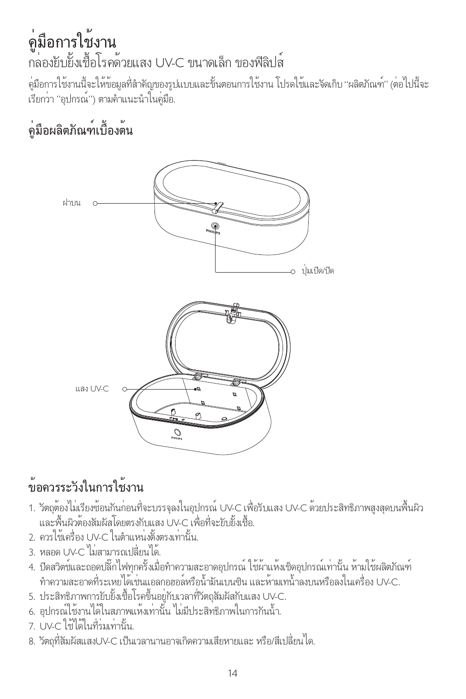# คู่มือการใช้งาน กล่องยับยั้งเชื้อโรคด้วยแสง UV-C ขนาดเล็ก ของฟิลิปส์

ค่มือการใช้งานนี้จะให้ข้อมูลที่สำคัญของรูปแบบและขั้นตอนการใช้งาน โปรดใช้และจัดเก็บ "ผลิตภัณฑ์" (ต่อไปนี้จะ เรียกว่า "อุปกรณ์") ตามคำาแนะนำาในคู่มือ.

# คู่มือผลิตภัณฑ์เบื้องต้น



# ข้อควรระวังในการใช้งาน

- 1. วัตถุต้องไม่เรียงซ้อนกันก่อนที่จะบรรจุลงในอุปกรณ์ UV-C เพื่อรับแสง UV-C ด้วยประสิทธิภาพสูงสุดบนพื้นผิว และพื้นผิวต้องสัมผัสโดยตรงกับแสง UV-C เพื่อที่จะยับยั้งเชื้อ.
- 2. ควรใช้เครื่อง UV-C ในตำาแหน่งตั้งตรงเท่านั้น.
- 3. หลอด UV-C ไม่สามารถเปลี่ยนได้.
- 4. ปิดสวิตช์และถอดปลี๊กไฟทุกครั้งเมื่อทำความสะอาดอุปกรณ์ ใช้ผ้าแห้งเช็ดอุปกรณ์เท่านั้น ห้ามใช้ผลิตภัณฑ์ ทำความสะอาดที่ระเหยได้เช่นแอลกอฮอล์หรือน้ำมันเบนซิน และห้ามเทน้ำลงบนหรือลงในเครื่อง UV-C.
- 5. ประสิทธิภาพการยับยั้งเชื้อโรคขึ้นอยู่กับเวลาที่วัตถุสัมผัสกับแสง UV-C.
- 6. อุปกรณ์ใช้งานได้ในสภาพแห้งเท่านั้น ไม่มีประสิทธิภาพในการกันน้ำา.
- 7. UV-C ใช้ได้ในที่ร่มเท่านั้น.
- 8. วัตถุที่สัมผัสแสงUV-C เป็นเวลานานอาจเกิดความเสียหายและ หรือ/สีเปลี่ยนได.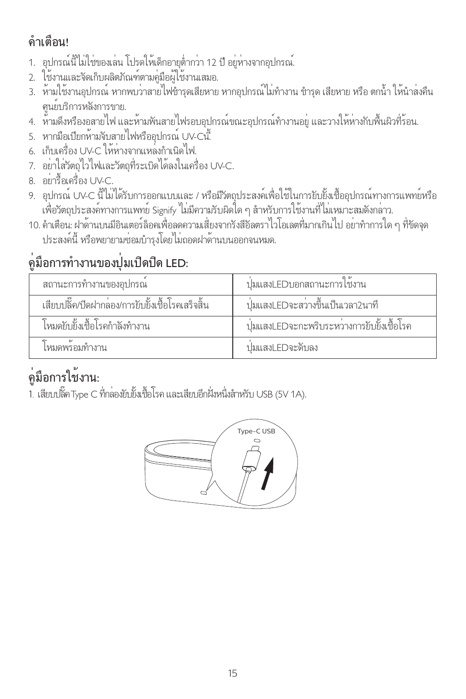# คำาเตือน!

- 1. อุปกรณ์นี้ไม่ใช่ของเล่น โปรดให้เด็กอายุต่ำากว่า 12 ปี อยู่ห่างจากอุปกรณ.์
- 2. ใช้งานและจัดเก็บผลิตภัณฑ์ตามคู่มือผู้ใช้งานเสมอ.
- 3. ห้ามใช้งานอุปกรณ์ หากพบว่าสายไฟชำรดเสียหาย หากอุปกรณ์ไม่ทำงาน ชำรุด เสียหาย หรือ ตกน้ำ ให้นำส่งคืน ศูนย์บริการหลังการขาย.
- 4. ห้ามดึงหรืองอสายไฟ และห้ามพันสายไฟรอบอปกรณ์ขณะอุปกรณ์ทำงานอยู่ และวางให้ห่างกับพื้นผิวที่ร้อน.
- 5. หากมือเปียกห้ามจับสายไฟหรืออปกรณ์ UV-Cนี้
- 6. เก็บเครื่อง UV-C ให้ห่างจากแหล่งกำาเนิดไฟ.
- 7. อย่าใส่วัตถุไวไฟและวัตถุที่ระเบิดได้ลงในเครื่อง UV-C.
- 8. อย่ารื้อเครื่อง UV-C.
- 9. อุปกรณ์ UV-C นี้ไม่ได้รับการออกแบบและ / หรือมีวัตถุประสงค์เพื่อใช้ในการยับยั้งเชื้ออุปกรณ์ทางการแพทย์หรือ เพื่อวัตถุประสงค์ทางการแพทย์ Signify ไม่มีความรับผิดใด ๆ สำาหรับการใช้งานที่ไม่เหมาะสมดังกล่าว.
- 10. คำาเตือน: ฝาด้านบนมีอินเตอร์ล็อคเพื่อลดความเสี่ยงจากรังสีอัลตราไวโอเลตที่มากเกินไป อย่าทำาการใด ๆ ที่ขัดจุด ประสงค์นี้ หรือพยายามซ่อมบำารุงโดยไม่ถอดฝาด้านบนออกจนหมด.

# คู่มือการทำางานของปุ่มเปิดปิด LED:

| สถานะการทำงานของอปกรณ์                          | ูปมแสงLEDบอกสถานะการใช้งาน                 |
|-------------------------------------------------|--------------------------------------------|
| เสียบปล็ด/ปิดฝากลอง/การยับยั้งเชื้อโรคเสร็จสิ้น | ปมแสงLEDจะสวางขึ้นเป็นเวลา2นาที            |
| โหมดยับยั้งเชื้อโรคกำลังทำงาน                   | ปุ่มแสงLEDจะกะพริบระหวางการยับยั้งเชื้อโรค |
| ไหมดพรกมทำงาน                                   | ปมแสง! FDจะดับลง                           |

# คู่มือการใช้งาน:

1. เสียบปลั๊ค Type C ที่กล่องยับยั้งเชื้อโรค และเสียบอีกฝั่งหนึ่งสำาหรับ USB (5V 1A).

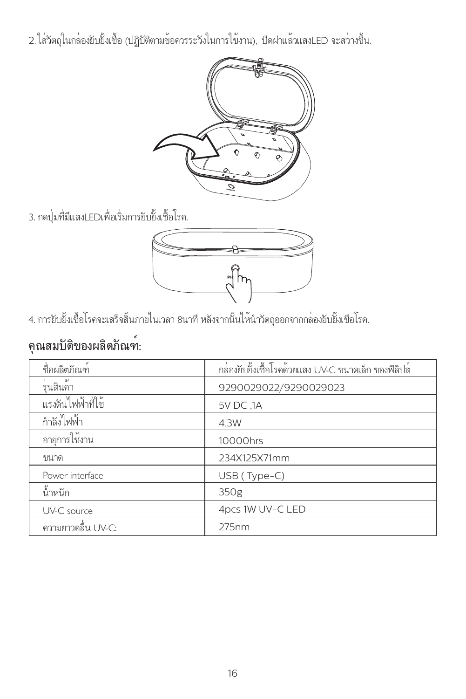2.ใส่วัตถุในกล่องยับยั้งเชื้อ (ปฏิบัติตามข้อควรระวังในการใช้งาน), ปิดฝาแล้วแสงLED จะสว่างขึ้น.



3. กดปุ่มที่มีแสงLEDเพื่อเริ่มการยับยั้งเชื้อโรค.



4. การยับยั้งเชื้อโรคจะเสร็จสิ้นภายในเวลา 8นาที หลังจากนั้นให้นำาวัตถุออกจากกล่องยับยั้งเชือโรค.

# คุณสมบัติของผลิตภัณฑ์:

| ที่กผลิตภัณฑ์      | กล่องยับยั้งเชื้อโรคด้วยแสง UV-C ขนาดเล็ก ของฟิลิปส์ |
|--------------------|------------------------------------------------------|
| ร่นสินค้า          | 9290029022/9290029023                                |
| แรงดันไฟฟ้าที่ใช้  | 5V DC .1A                                            |
| กำลังไฟฟ้า         | 4.3W                                                 |
| อายุการใช้งาน      | 10000hrs                                             |
| ๆนาด               | 234X125X71mm                                         |
| Power interface    | USB (Type-C)                                         |
| น้ำหนัก            | 350g                                                 |
| UV-C source        | 4pcs 1W UV-C LED                                     |
| ความยาวคลื่น UV-C: | 275nm                                                |